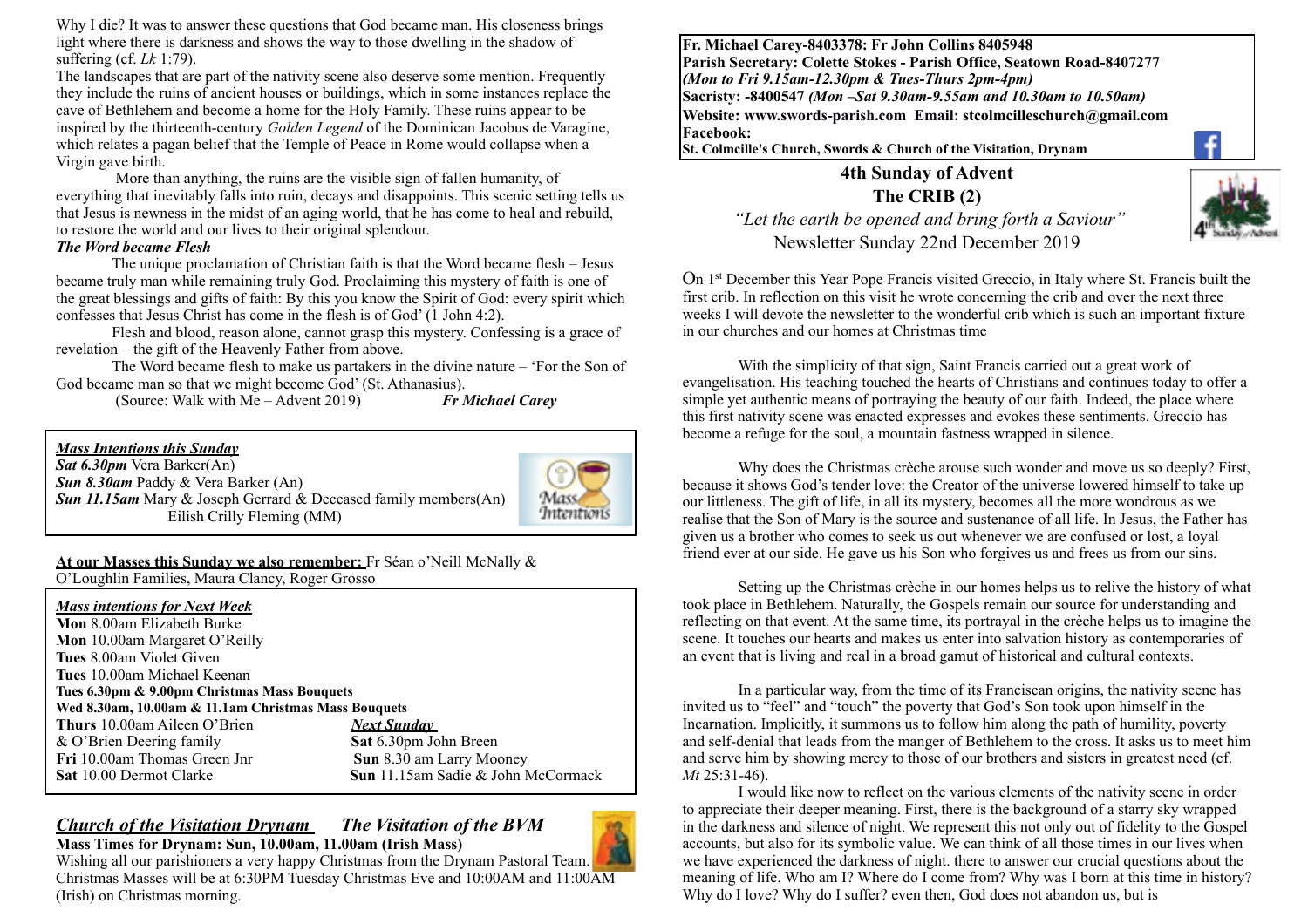Why I die? It was to answer these questions that God became man. His closeness brings light where there is darkness and shows the way to those dwelling in the shadow of suffering (cf. *Lk* 1:79).

The landscapes that are part of the nativity scene also deserve some mention. Frequently they include the ruins of ancient houses or buildings, which in some instances replace the cave of Bethlehem and become a home for the Holy Family. These ruins appear to be inspired by the thirteenth-century *Golden Legend* of the Dominican Jacobus de Varagine, which relates a pagan belief that the Temple of Peace in Rome would collapse when a Virgin gave birth.

 More than anything, the ruins are the visible sign of fallen humanity, of everything that inevitably falls into ruin, decays and disappoints. This scenic setting tells us that Jesus is newness in the midst of an aging world, that he has come to heal and rebuild, to restore the world and our lives to their original splendour.

#### *The Word became Flesh*

 $\overline{a}$ 

The unique proclamation of Christian faith is that the Word became flesh – Jesus became truly man while remaining truly God. Proclaiming this mystery of faith is one of the great blessings and gifts of faith: By this you know the Spirit of God: every spirit which confesses that Jesus Christ has come in the flesh is of God' (1 John 4:2).

Flesh and blood, reason alone, cannot grasp this mystery. Confessing is a grace of revelation – the gift of the Heavenly Father from above.

The Word became flesh to make us partakers in the divine nature – 'For the Son of God became man so that we might become God' (St. Athanasius).

(Source: Walk with Me – Advent 2019) *Fr Michael Carey* 



# Intentions

#### **At our Masses this Sunday we also remember:** Fr Séan o'Neill McNally &

O'Loughlin Families, Maura Clancy, Roger Grosso

| <b>Mass intentions for Next Week</b>                 |                                           |
|------------------------------------------------------|-------------------------------------------|
| <b>Mon</b> 8.00am Elizabeth Burke                    |                                           |
| <b>Mon</b> 10.00am Margaret O'Reilly                 |                                           |
| <b>Tues</b> 8.00am Violet Given                      |                                           |
| Tues 10.00am Michael Keenan                          |                                           |
| Tues 6.30pm & 9.00pm Christmas Mass Bouquets         |                                           |
| Wed 8.30am, 10.00am & 11.1am Christmas Mass Bouquets |                                           |
| Thurs 10.00am Aileen O'Brien                         | Next Sunday                               |
| $&$ O'Brien Deering family                           | Sat 6.30pm John Breen                     |
| <b>Fri</b> 10.00am Thomas Green Jnr                  | Sun 8.30 am Larry Mooney                  |
| <b>Sat 10.00 Dermot Clarke</b>                       | <b>Sun</b> 11.15am Sadie & John McCormack |
|                                                      |                                           |

#### *Church of the Visitation Drynam**The Visitation of the BVM* **Mass Times for Drynam: Sun, 10.00am, 11.00am (Irish Mass)**



Wishing all our parishioners a very happy Christmas from the Drynam Pastoral Team. Christmas Masses will be at 6:30PM Tuesday Christmas Eve and 10:00AM and 11:00AM (Irish) on Christmas morning.

**Fr. Michael Carey-8403378: Fr John Collins 8405948 Parish Secretary: Colette Stokes - Parish Office, Seatown Road-8407277**  *(Mon to Fri 9.15am-12.30pm & Tues-Thurs 2pm-4pm)*  **Sacristy: -8400547** *(Mon –Sat 9.30am-9.55am and 10.30am to 10.50am)* **Website: [www.swords-parish.com Email:](http://www.swords-parish.com%20%20email) stcolmcilleschurch@gmail.com Facebook:** 

**St. Colmcille's Church, Swords & Church of the Visitation, Drynam** 

**4th Sunday of Advent The CRIB (2)**

 *"Let the earth be opened and bring forth a Saviour"*  Newsletter Sunday 22nd December 2019



On 1st December this Year Pope Francis visited Greccio, in Italy where St. Francis built the first crib. In reflection on this visit he wrote concerning the crib and over the next three weeks I will devote the newsletter to the wonderful crib which is such an important fixture in our churches and our homes at Christmas time

With the simplicity of that sign, Saint Francis carried out a great work of evangelisation. His teaching touched the hearts of Christians and continues today to offer a simple yet authentic means of portraying the beauty of our faith. Indeed, the place where this first nativity scene was enacted expresses and evokes these sentiments. Greccio has become a refuge for the soul, a mountain fastness wrapped in silence.

Why does the Christmas crèche arouse such wonder and move us so deeply? First, because it shows God's tender love: the Creator of the universe lowered himself to take up our littleness. The gift of life, in all its mystery, becomes all the more wondrous as we realise that the Son of Mary is the source and sustenance of all life. In Jesus, the Father has given us a brother who comes to seek us out whenever we are confused or lost, a loyal friend ever at our side. He gave us his Son who forgives us and frees us from our sins.

Setting up the Christmas crèche in our homes helps us to relive the history of what took place in Bethlehem. Naturally, the Gospels remain our source for understanding and reflecting on that event. At the same time, its portrayal in the crèche helps us to imagine the scene. It touches our hearts and makes us enter into salvation history as contemporaries of an event that is living and real in a broad gamut of historical and cultural contexts.

In a particular way, from the time of its Franciscan origins, the nativity scene has invited us to "feel" and "touch" the poverty that God's Son took upon himself in the Incarnation. Implicitly, it summons us to follow him along the path of humility, poverty and self-denial that leads from the manger of Bethlehem to the cross. It asks us to meet him and serve him by showing mercy to those of our brothers and sisters in greatest need (cf. *Mt* 25:31-46).

 I would like now to reflect on the various elements of the nativity scene in order to appreciate their deeper meaning. First, there is the background of a starry sky wrapped in the darkness and silence of night. We represent this not only out of fidelity to the Gospel accounts, but also for its symbolic value. We can think of all those times in our lives when we have experienced the darkness of night. there to answer our crucial questions about the meaning of life. Who am I? Where do I come from? Why was I born at this time in history? Why do I love? Why do I suffer? even then, God does not abandon us, but is